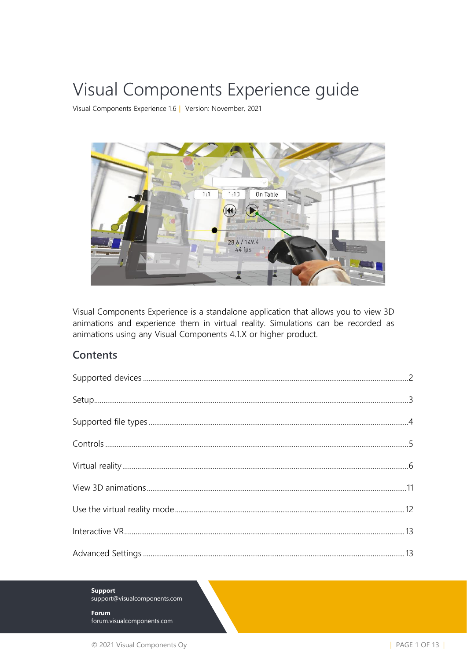# Visual Components Experience guide

Visual Components Experience 1.6 | Version: November, 2021



Visual Components Experience is a standalone application that allows you to view 3D animations and experience them in virtual reality. Simulations can be recorded as animations using any Visual Components 4.1.X or higher product.

#### **Contents**

**Support** support@visualcomponents.com

Forum forum.visualcomponents.com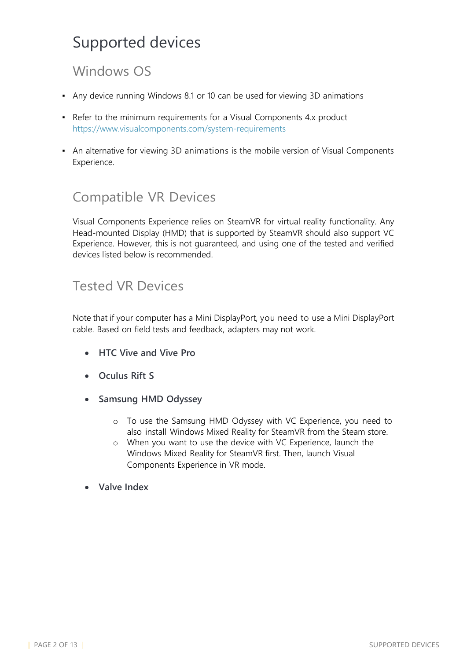## <span id="page-1-0"></span>Supported devices

#### Windows OS

- Any device running Windows 8.1 or 10 can be used for viewing 3D animations
- Refer to the minimum requirements for a Visual Components 4.x product <https://www.visualcomponents.com/system-requirements>
- **An alternative for viewing [3D animations is](https://www.visualcomponents.com/system-requirements) the mobile version of Visual Components** [Experience.](https://www.visualcomponents.com/system-requirements)

#### Compatible VR Devices

Visual Components Experience relies on SteamVR for virtual reality functionality. Any Head-mounted Display (HMD) that is supported by SteamVR should also support VC Experience. However, this is not guaranteed, and using one of the tested and verified devices listed below is recommended.

#### Tested VR Devices

Note that if your computer has a Mini DisplayPort, you need to use a Mini DisplayPort cable. Based on field tests and feedback, adapters may not work.

- **HTC Vive and Vive Pro**
- **Oculus Rift S**
- **Samsung HMD Odyssey**
	- o To use the Samsung HMD Odyssey with VC Experience, you need to also install Windows Mixed Reality for SteamVR from the Steam store.
	- o When you want to use the device with VC Experience, launch the Windows Mixed Reality for SteamVR first. Then, launch Visual Components Experience in VR mode.
- **Valve Index**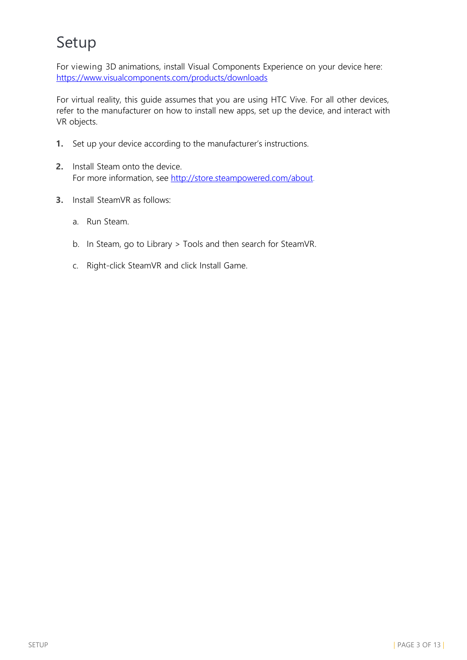# <span id="page-2-0"></span>Setup

For viewing 3D animations, install Visual Components Experience on your device here: <https://www.visualcomponents.com/products/downloads>

For virtual reality, this guide assumes that you are using HTC Vive. For all other devices, refer to the manufacturer on how to install new apps, set up the device, and interact with VR objects.

- **1.** Set up your device according to the manufacturer's instructions.
- **2.** Install Steam onto the device. For more information, see [http://store.steampowered.com/about.](http://store.steampowered.com/about)
- **3.** Install SteamVR as follows:
	- a. Run Steam.
	- b. In Steam, go to Library > Tools and then search for SteamVR.
	- c. Right-click SteamVR and click Install Game.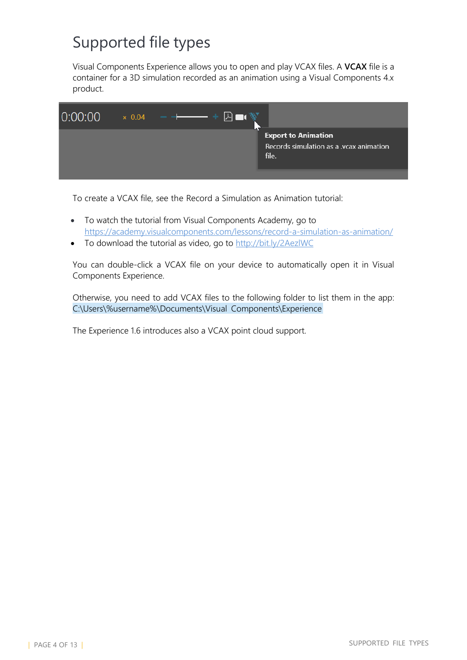# <span id="page-3-0"></span>Supported file types

Visual Components Experience allows you to open and play VCAX files. A **VCAX** file is a container for a 3D simulation recorded as an animation using a Visual Components 4.x product.



To create a VCAX file, see the Record a Simulation as Animation tutorial:

- To watch the tutorial from Visual Components Academy, go to <https://academy.visualcomponents.com/lessons/record-a-simulation-as-animation/>
- To download the tutorial as video, go to <http://bit.ly/2AezlWC>

You can double-click a VCAX file on your device to automatically open it in Visual Components Experience.

Otherwise, you need to add VCAX files to the following folder to list them in the app: C:\Users\%username%\Documents\Visual Components\Experience

The Experience 1.6 introduces also a VCAX point cloud support.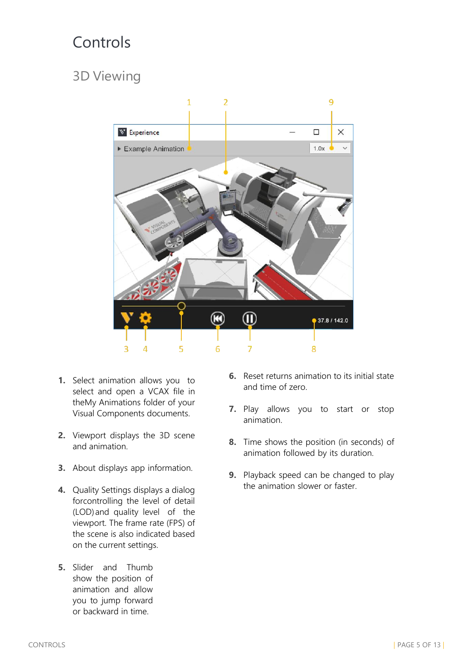## Controls

### 3D Viewing



- **1.** Select animation allows you to select and open a VCAX file in theMy Animations folder of your Visual Components documents.
- **2.** Viewport displays the 3D scene and animation.
- **3.** About displays app information.
- **4.** Quality Settings displays a dialog forcontrolling the level of detail (LOD)and quality level of the viewport. The frame rate (FPS) of the scene is also indicated based on the current settings.
- **5.** Slider and Thumb show the position of animation and allow you to jump forward or backward in time.
- **6.** Reset returns animation to its initial state and time of zero.
- **7.** Play allows you to start or stop animation.
- **8.** Time shows the position (in seconds) of animation followed by its duration.
- **9.** Playback speed can be changed to play the animation slower or faster.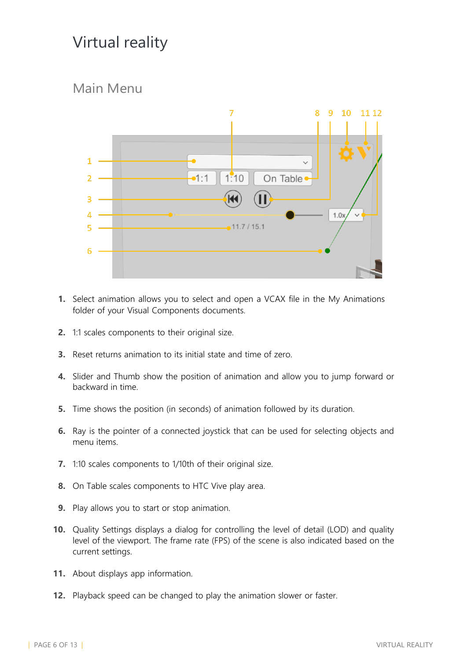## <span id="page-5-0"></span>Virtual reality

#### Main Menu



- **1.** Select animation allows you to select and open a VCAX file in the My Animations folder of your Visual Components documents.
- **2.** 1:1 scales components to their original size.
- **3.** Reset returns animation to its initial state and time of zero.
- **4.** Slider and Thumb show the position of animation and allow you to jump forward or backward in time.
- **5.** Time shows the position (in seconds) of animation followed by its duration.
- **6.** Ray is the pointer of a connected joystick that can be used for selecting objects and menu items.
- **7.** 1:10 scales components to 1/10th of their original size.
- **8.** On Table scales components to HTC Vive play area.
- **9.** Play allows you to start or stop animation.
- **10.** Quality Settings displays a dialog for controlling the level of detail (LOD) and quality level of the viewport. The frame rate (FPS) of the scene is also indicated based on the current settings.
- **11.** About displays app information.
- **12.** Playback speed can be changed to play the animation slower or faster.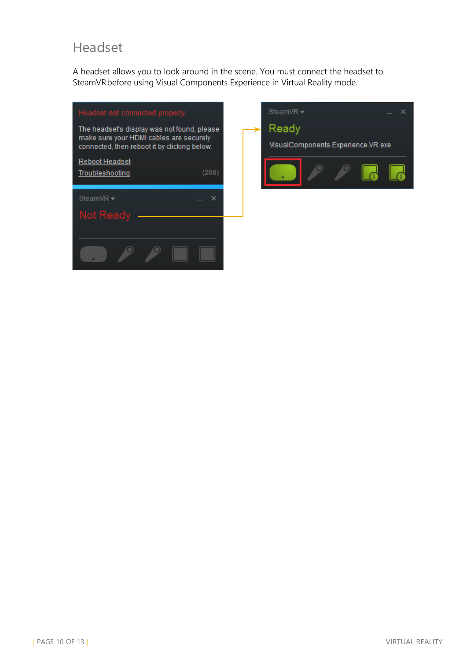#### Headset

A headset allows you to look around in the scene. You must connect the headset to SteamVR before using Visual Components Experience in Virtual Reality mode.

| Headset not connected properly<br>The headset's display was not found, please<br>make sure your HDMI cables are securely<br>connected, then reboot it by clicking below. |       |
|--------------------------------------------------------------------------------------------------------------------------------------------------------------------------|-------|
| <u>Reboot Headset</u><br>Troubleshooting                                                                                                                                 | (208) |
| SteamVR <del>▼</del>                                                                                                                                                     |       |
| Not Ready                                                                                                                                                                |       |

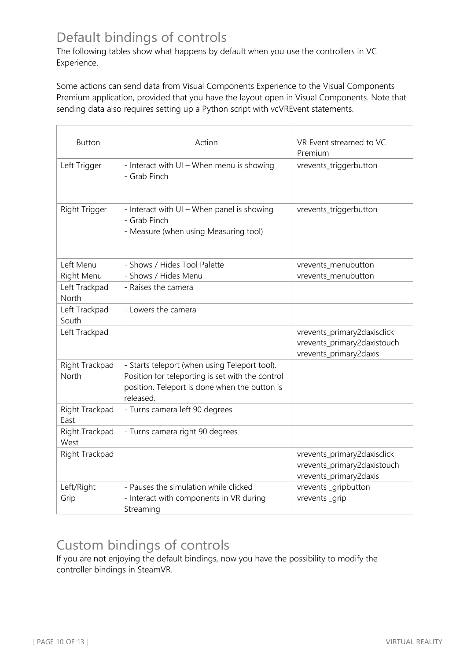#### Default bindings of controls

The following tables show what happens by default when you use the controllers in VC Experience.

Some actions can send data from Visual Components Experience to the Visual Components Premium application, provided that you have the layout open in Visual Components. Note that sending data also requires setting up a Python script with vcVREvent statements.

| <b>Button</b>           | Action                                                                                                                                                          | VR Event streamed to VC<br>Premium                                                   |
|-------------------------|-----------------------------------------------------------------------------------------------------------------------------------------------------------------|--------------------------------------------------------------------------------------|
| Left Trigger            | - Interact with UI - When menu is showing<br>- Grab Pinch                                                                                                       | vrevents_triggerbutton                                                               |
| Right Trigger           | - Interact with UI - When panel is showing<br>- Grab Pinch<br>- Measure (when using Measuring tool)                                                             | vrevents_triggerbutton                                                               |
| Left Menu               | - Shows / Hides Tool Palette                                                                                                                                    | vrevents_menubutton                                                                  |
| Right Menu              | - Shows / Hides Menu                                                                                                                                            | vrevents_menubutton                                                                  |
| Left Trackpad<br>North  | - Raises the camera                                                                                                                                             |                                                                                      |
| Left Trackpad<br>South  | - Lowers the camera                                                                                                                                             |                                                                                      |
| Left Trackpad           |                                                                                                                                                                 | vrevents_primary2daxisclick<br>vrevents_primary2daxistouch<br>vrevents_primary2daxis |
| Right Trackpad<br>North | - Starts teleport (when using Teleport tool).<br>Position for teleporting is set with the control<br>position. Teleport is done when the button is<br>released. |                                                                                      |
| Right Trackpad<br>East  | - Turns camera left 90 degrees                                                                                                                                  |                                                                                      |
| Right Trackpad<br>West  | - Turns camera right 90 degrees                                                                                                                                 |                                                                                      |
| Right Trackpad          |                                                                                                                                                                 | vrevents_primary2daxisclick<br>vrevents_primary2daxistouch<br>vrevents_primary2daxis |
| Left/Right<br>Grip      | - Pauses the simulation while clicked<br>- Interact with components in VR during<br>Streaming                                                                   | vrevents_gripbutton<br>vrevents_grip                                                 |

#### Custom bindings of controls

If you are not enjoying the default bindings, now you have the possibility to modify the controller bindings in SteamVR.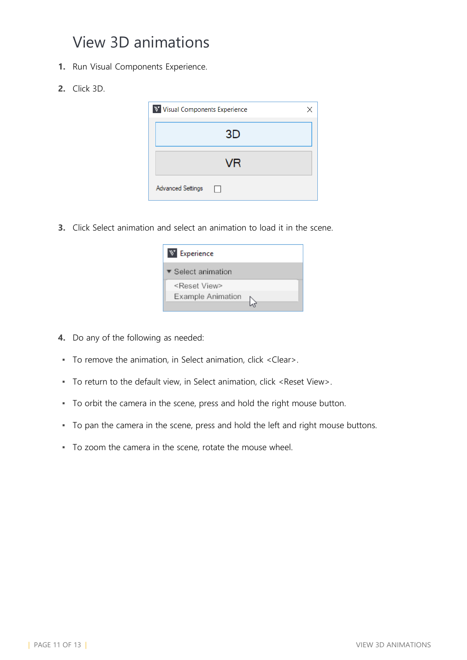### View 3D animations

- **1.** Run Visual Components Experience.
- **2.** Click 3D.

| Visual Components Experience<br>$\mathscr{B}_{\mathbf{A}}$ | × |
|------------------------------------------------------------|---|
| 3D                                                         |   |
| VR                                                         |   |
| <b>Advanced Settings</b>                                   |   |

**3.** Click Select animation and select an animation to load it in the scene.

| Experience<br>$\mathscr{B}_{\mathbf{a}}$ |  |
|------------------------------------------|--|
| ▼ Select animation                       |  |
| <reset view=""></reset>                  |  |
| Example Animation                        |  |

- **4.** Do any of the following as needed:
- To remove the animation, in Select animation, click <Clear>.
- To return to the default view, in Select animation, click <Reset View>.
- To orbit the camera in the scene, press and hold the right mouse button.
- To pan the camera in the scene, press and hold the left and right mouse buttons.
- To zoom the camera in the scene, rotate the mouse wheel.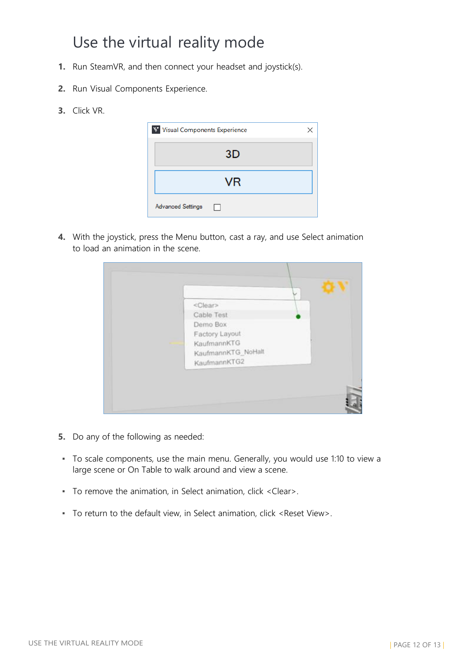### Use the virtual reality mode

- **1.** Run SteamVR, and then connect your headset and joystick(s).
- **2.** Run Visual Components Experience.
- **3.** Click VR.

| V Visual Components Experience |    | × |
|--------------------------------|----|---|
|                                | 3D |   |
|                                | VR |   |
| <b>Advanced Settings</b>       | Ιł |   |

**4.** With the joystick, press the Menu button, cast a ray, and use Select animation to load an animation in the scene.



- **5.** Do any of the following as needed:
- To scale components, use the main menu. Generally, you would use 1:10 to view a large scene or On Table to walk around and view a scene.
- To remove the animation, in Select animation, click <Clear>.
- To return to the default view, in Select animation, click <Reset View>.